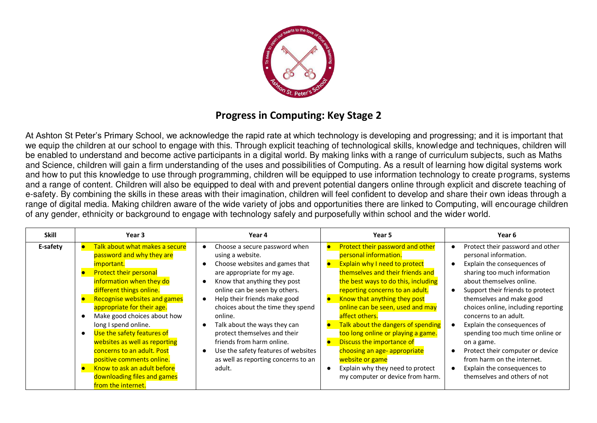

## **Progress in Computing: Key Stage 2**

At Ashton St Peter's Primary School, we acknowledge the rapid rate at which technology is developing and progressing; and it is important that we equip the children at our school to engage with this. Through explicit teaching of technological skills, knowledge and techniques, children will be enabled to understand and become active participants in a digital world. By making links with a range of curriculum subjects, such as Maths and Science, children will gain a firm understanding of the uses and possibilities of Computing. As a result of learning how digital systems work and how to put this knowledge to use through programming, children will be equipped to use information technology to create programs, systems and a range of content. Children will also be equipped to deal with and prevent potential dangers online through explicit and discrete teaching of e-safety. By combining the skills in these areas with their imagination, children will feel confident to develop and share their own ideas through a range of digital media. Making children aware of the wide variety of jobs and opportunities there are linked to Computing, will encourage children of any gender, ethnicity or background to engage with technology safely and purposefully within school and the wider world.

| <b>Skill</b> | Year <sub>3</sub>                   | Year 4                                           | Year 5                                      | Year 6                                        |
|--------------|-------------------------------------|--------------------------------------------------|---------------------------------------------|-----------------------------------------------|
| E-safety     | Talk about what makes a secure      | Choose a secure password when<br>$\bullet$       | Protect their password and other            | Protect their password and other<br>$\bullet$ |
|              | password and why they are           | using a website.                                 | personal information.                       | personal information.                         |
|              | <i>important.</i>                   | Choose websites and games that<br>$\bullet$      | Explain why I need to protect<br>$\bullet$  | Explain the consequences of<br>$\bullet$      |
|              | <b>Protect their personal</b>       | are appropriate for my age.                      | themselves and their friends and            | sharing too much information                  |
|              | information when they do            | Know that anything they post<br>$\bullet$        | the best ways to do this, including         | about themselves online.                      |
|              | different things online.            | online can be seen by others.                    | reporting concerns to an adult.             | Support their friends to protect<br>$\bullet$ |
|              | <b>Recognise websites and games</b> | Help their friends make good<br>$\bullet$        | Know that anything they post<br>le          | themselves and make good                      |
|              | appropriate for their age.          | choices about the time they spend                | online can be seen, used and may            | choices online, including reporting           |
|              | Make good choices about how         | online.                                          | affect others.                              | concerns to an adult.                         |
|              | long I spend online.                | Talk about the ways they can<br>٠                | Talk about the dangers of spending<br>le    | Explain the consequences of                   |
|              | Use the safety features of          | protect themselves and their                     | too long online or playing a game.          | spending too much time online or              |
|              | websites as well as reporting       | friends from harm online.                        | Discuss the importance of<br>$\blacksquare$ | on a game.                                    |
|              | concerns to an adult. Post          | Use the safety features of websites<br>$\bullet$ | choosing an age- appropriate                | Protect their computer or device<br>0         |
|              | positive comments online.           | as well as reporting concerns to an              | website or game                             | from harm on the internet.                    |
|              | Know to ask an adult before         | adult.                                           | Explain why they need to protect            | Explain the consequences to                   |
|              | downloading files and games         |                                                  | my computer or device from harm.            | themselves and others of not                  |
|              | from the internet.                  |                                                  |                                             |                                               |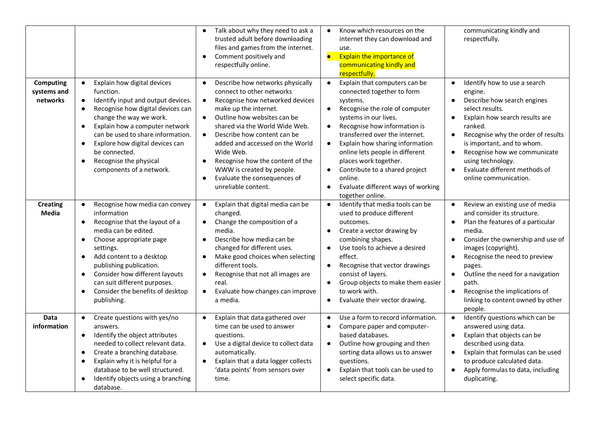|                                      |                                                                                                                                                                                                                                                                                                                                                                                                  | Talk about why they need to ask a<br>trusted adult before downloading<br>files and games from the internet.<br>Comment positively and<br>$\bullet$<br>respectfully online.                                                                                                                                                                                                                                                                                                      | Know which resources on the<br>$\bullet$<br>internet they can download and<br>use.<br>$\bullet$<br><b>Explain the importance of</b><br>communicating kindly and<br>respectfully.                                                                                                                                                                                                                                                                                            | communicating kindly and<br>respectfully.                                                                                                                                                                                                                                                                                                                                                                                         |
|--------------------------------------|--------------------------------------------------------------------------------------------------------------------------------------------------------------------------------------------------------------------------------------------------------------------------------------------------------------------------------------------------------------------------------------------------|---------------------------------------------------------------------------------------------------------------------------------------------------------------------------------------------------------------------------------------------------------------------------------------------------------------------------------------------------------------------------------------------------------------------------------------------------------------------------------|-----------------------------------------------------------------------------------------------------------------------------------------------------------------------------------------------------------------------------------------------------------------------------------------------------------------------------------------------------------------------------------------------------------------------------------------------------------------------------|-----------------------------------------------------------------------------------------------------------------------------------------------------------------------------------------------------------------------------------------------------------------------------------------------------------------------------------------------------------------------------------------------------------------------------------|
| Computing<br>systems and<br>networks | Explain how digital devices<br>$\bullet$<br>function.<br>Identify input and output devices.<br>$\bullet$<br>Recognise how digital devices can<br>change the way we work.<br>Explain how a computer network<br>$\bullet$<br>can be used to share information.<br>Explore how digital devices can<br>$\bullet$<br>be connected.<br>Recognise the physical<br>$\bullet$<br>components of a network. | Describe how networks physically<br>$\bullet$<br>connect to other networks<br>Recognise how networked devices<br>$\bullet$<br>make up the internet.<br>Outline how websites can be<br>$\bullet$<br>shared via the World Wide Web.<br>$\bullet$<br>Describe how content can be<br>added and accessed on the World<br>Wide Web.<br>Recognise how the content of the<br>$\bullet$<br>WWW is created by people.<br>Evaluate the consequences of<br>$\bullet$<br>unreliable content. | Explain that computers can be<br>$\bullet$<br>connected together to form<br>systems.<br>Recognise the role of computer<br>$\bullet$<br>systems in our lives.<br>Recognise how information is<br>$\bullet$<br>transferred over the internet.<br>Explain how sharing information<br>$\bullet$<br>online lets people in different<br>places work together.<br>Contribute to a shared project<br>online.<br>Evaluate different ways of working<br>$\bullet$<br>together online. | Identify how to use a search<br>$\bullet$<br>engine.<br>Describe how search engines<br>$\bullet$<br>select results.<br>Explain how search results are<br>$\bullet$<br>ranked.<br>Recognise why the order of results<br>$\bullet$<br>is important, and to whom.<br>Recognise how we communicate<br>$\bullet$<br>using technology.<br>Evaluate different methods of<br>$\bullet$<br>online communication.                           |
| <b>Creating</b><br><b>Media</b>      | Recognise how media can convey<br>information<br>Recognise that the layout of a<br>$\bullet$<br>media can be edited.<br>Choose appropriate page<br>$\bullet$<br>settings.<br>Add content to a desktop<br>$\bullet$<br>publishing publication.<br>Consider how different layouts<br>$\bullet$<br>can suit different purposes.<br>Consider the benefits of desktop<br>$\bullet$<br>publishing.     | Explain that digital media can be<br>$\bullet$<br>changed.<br>Change the composition of a<br>$\bullet$<br>media.<br>Describe how media can be<br>$\bullet$<br>changed for different uses.<br>Make good choices when selecting<br>$\bullet$<br>different tools.<br>Recognise that not all images are<br>$\bullet$<br>real.<br>Evaluate how changes can improve<br>$\bullet$<br>a media.                                                                                          | Identify that media tools can be<br>$\bullet$<br>used to produce different<br>outcomes.<br>Create a vector drawing by<br>combining shapes.<br>Use tools to achieve a desired<br>$\bullet$<br>effect.<br>Recognise that vector drawings<br>$\bullet$<br>consist of layers.<br>Group objects to make them easier<br>$\bullet$<br>to work with.<br>Evaluate their vector drawing.                                                                                              | Review an existing use of media<br>$\bullet$<br>and consider its structure.<br>Plan the features of a particular<br>$\bullet$<br>media.<br>Consider the ownership and use of<br>$\bullet$<br>images (copyright).<br>Recognise the need to preview<br>$\bullet$<br>pages.<br>Outline the need for a navigation<br>$\bullet$<br>path.<br>Recognise the implications of<br>$\bullet$<br>linking to content owned by other<br>people. |
| Data<br>information                  | Create questions with yes/no<br>answers.<br>Identify the object attributes<br>$\bullet$<br>needed to collect relevant data.<br>Create a branching database.<br>$\bullet$<br>Explain why it is helpful for a<br>$\bullet$<br>database to be well structured.<br>Identify objects using a branching<br>database.                                                                                   | Explain that data gathered over<br>$\bullet$<br>time can be used to answer<br>questions.<br>Use a digital device to collect data<br>$\bullet$<br>automatically.<br>Explain that a data logger collects<br>$\bullet$<br>'data points' from sensors over<br>time.                                                                                                                                                                                                                 | Use a form to record information.<br>$\bullet$<br>Compare paper and computer-<br>$\bullet$<br>based databases.<br>Outline how grouping and then<br>$\bullet$<br>sorting data allows us to answer<br>questions.<br>Explain that tools can be used to<br>select specific data.                                                                                                                                                                                                | Identify questions which can be<br>$\bullet$<br>answered using data.<br>Explain that objects can be<br>$\bullet$<br>described using data.<br>Explain that formulas can be used<br>$\bullet$<br>to produce calculated data.<br>Apply formulas to data, including<br>$\bullet$<br>duplicating.                                                                                                                                      |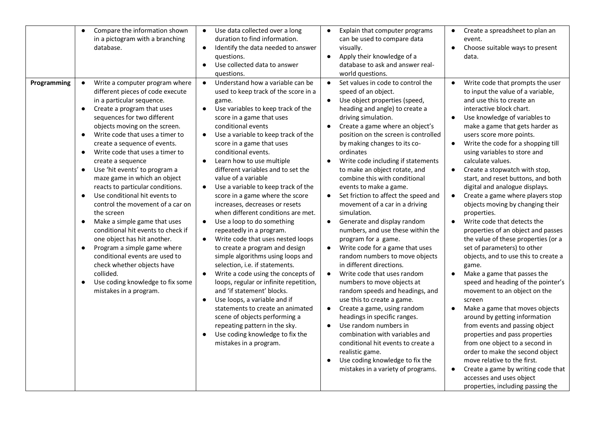| Compare the information shown<br>in a pictogram with a branching<br>database.                                                                                                                                                                                                                                                                                                                                                                                                                                                                                                                                                                                                                                                                                                                                                                                                                                                       | Use data collected over a long<br>$\bullet$<br>duration to find information.<br>Identify the data needed to answer<br>$\bullet$<br>questions.<br>Use collected data to answer<br>$\bullet$<br>questions.                                                                                                                                                                                                                                                                                                                                                                                                                                                                                                                                                                                                                                                                                                                                                                                                                                                                                                                                                        | Explain that computer programs<br>can be used to compare data<br>visually.<br>Apply their knowledge of a<br>database to ask and answer real-<br>world questions.                                                                                                                                                                                                                                                                                                                                                                                                                                                                                                                                                                                                                                                                                                                                                                                                                                                                                                                                                      | Create a spreadsheet to plan an<br>event.<br>Choose suitable ways to present<br>data.                                                                                                                                                                                                                                                                                                                                                                                                                                                                                                                                                                                                                                                                                                                                                                                                                                                                                                                                                                                                                                                                                                                                                                                |
|-------------------------------------------------------------------------------------------------------------------------------------------------------------------------------------------------------------------------------------------------------------------------------------------------------------------------------------------------------------------------------------------------------------------------------------------------------------------------------------------------------------------------------------------------------------------------------------------------------------------------------------------------------------------------------------------------------------------------------------------------------------------------------------------------------------------------------------------------------------------------------------------------------------------------------------|-----------------------------------------------------------------------------------------------------------------------------------------------------------------------------------------------------------------------------------------------------------------------------------------------------------------------------------------------------------------------------------------------------------------------------------------------------------------------------------------------------------------------------------------------------------------------------------------------------------------------------------------------------------------------------------------------------------------------------------------------------------------------------------------------------------------------------------------------------------------------------------------------------------------------------------------------------------------------------------------------------------------------------------------------------------------------------------------------------------------------------------------------------------------|-----------------------------------------------------------------------------------------------------------------------------------------------------------------------------------------------------------------------------------------------------------------------------------------------------------------------------------------------------------------------------------------------------------------------------------------------------------------------------------------------------------------------------------------------------------------------------------------------------------------------------------------------------------------------------------------------------------------------------------------------------------------------------------------------------------------------------------------------------------------------------------------------------------------------------------------------------------------------------------------------------------------------------------------------------------------------------------------------------------------------|----------------------------------------------------------------------------------------------------------------------------------------------------------------------------------------------------------------------------------------------------------------------------------------------------------------------------------------------------------------------------------------------------------------------------------------------------------------------------------------------------------------------------------------------------------------------------------------------------------------------------------------------------------------------------------------------------------------------------------------------------------------------------------------------------------------------------------------------------------------------------------------------------------------------------------------------------------------------------------------------------------------------------------------------------------------------------------------------------------------------------------------------------------------------------------------------------------------------------------------------------------------------|
| Write a computer program where<br>Programming<br>$\bullet$<br>different pieces of code execute<br>in a particular sequence.<br>Create a program that uses<br>$\bullet$<br>sequences for two different<br>objects moving on the screen.<br>Write code that uses a timer to<br>$\bullet$<br>create a sequence of events.<br>Write code that uses a timer to<br>$\bullet$<br>create a sequence<br>Use 'hit events' to program a<br>$\bullet$<br>maze game in which an object<br>reacts to particular conditions.<br>Use conditional hit events to<br>$\bullet$<br>control the movement of a car on<br>the screen<br>Make a simple game that uses<br>$\bullet$<br>conditional hit events to check if<br>one object has hit another.<br>Program a simple game where<br>$\bullet$<br>conditional events are used to<br>check whether objects have<br>collided.<br>Use coding knowledge to fix some<br>$\bullet$<br>mistakes in a program. | Understand how a variable can be<br>$\bullet$<br>used to keep track of the score in a<br>game.<br>Use variables to keep track of the<br>$\bullet$<br>score in a game that uses<br>conditional events<br>Use a variable to keep track of the<br>$\bullet$<br>score in a game that uses<br>conditional events.<br>$\bullet$<br>Learn how to use multiple<br>different variables and to set the<br>value of a variable<br>Use a variable to keep track of the<br>$\bullet$<br>score in a game where the score<br>increases, decreases or resets<br>when different conditions are met.<br>Use a loop to do something<br>$\bullet$<br>repeatedly in a program.<br>Write code that uses nested loops<br>$\bullet$<br>to create a program and design<br>simple algorithms using loops and<br>selection, i.e. if statements.<br>Write a code using the concepts of<br>$\bullet$<br>loops, regular or infinite repetition,<br>and 'if statement' blocks.<br>Use loops, a variable and if<br>$\bullet$<br>statements to create an animated<br>scene of objects performing a<br>repeating pattern in the sky.<br>Use coding knowledge to fix the<br>mistakes in a program. | Set values in code to control the<br>$\bullet$<br>speed of an object.<br>Use object properties (speed,<br>heading and angle) to create a<br>driving simulation.<br>Create a game where an object's<br>position on the screen is controlled<br>by making changes to its co-<br>ordinates<br>Write code including if statements<br>to make an object rotate, and<br>combine this with conditional<br>events to make a game.<br>Set friction to affect the speed and<br>movement of a car in a driving<br>simulation.<br>Generate and display random<br>numbers, and use these within the<br>program for a game.<br>Write code for a game that uses<br>random numbers to move objects<br>in different directions.<br>Write code that uses random<br>$\bullet$<br>numbers to move objects at<br>random speeds and headings, and<br>use this to create a game.<br>Create a game, using random<br>headings in specific ranges.<br>Use random numbers in<br>combination with variables and<br>conditional hit events to create a<br>realistic game.<br>Use coding knowledge to fix the<br>mistakes in a variety of programs. | Write code that prompts the user<br>$\bullet$<br>to input the value of a variable,<br>and use this to create an<br>interactive block chart.<br>Use knowledge of variables to<br>$\bullet$<br>make a game that gets harder as<br>users score more points.<br>Write the code for a shopping till<br>$\bullet$<br>using variables to store and<br>calculate values.<br>Create a stopwatch with stop,<br>$\bullet$<br>start, and reset buttons, and both<br>digital and analogue displays.<br>Create a game where players stop<br>$\bullet$<br>objects moving by changing their<br>properties.<br>Write code that detects the<br>properties of an object and passes<br>the value of these properties (or a<br>set of parameters) to other<br>objects, and to use this to create a<br>game.<br>Make a game that passes the<br>$\bullet$<br>speed and heading of the pointer's<br>movement to an object on the<br>screen<br>Make a game that moves objects<br>around by getting information<br>from events and passing object<br>properties and pass properties<br>from one object to a second in<br>order to make the second object<br>move relative to the first.<br>Create a game by writing code that<br>accesses and uses object<br>properties, including passing the |